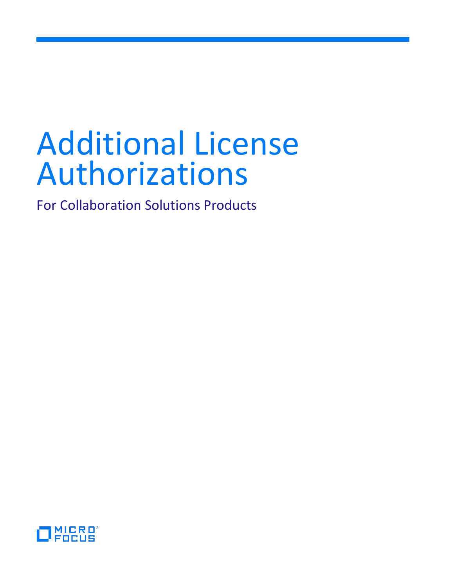# Additional License Authorizations

For Collaboration Solutions Products

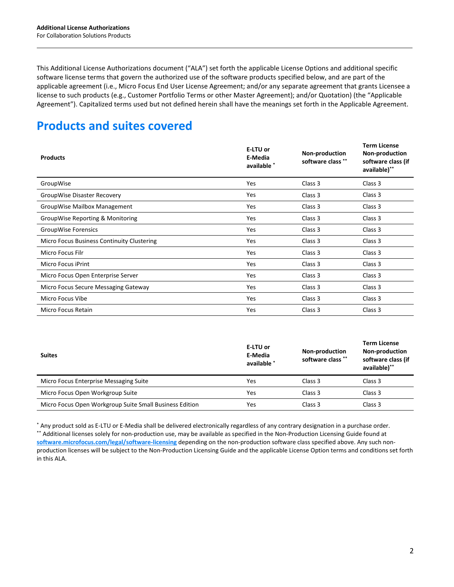This Additional License Authorizations document ("ALA") set forth the applicable License Options and additional specific software license terms that govern the authorized use of the software products specified below, and are part of the applicable agreement (i.e., Micro Focus End User License Agreement; and/or any separate agreement that grants Licensee a license to such products (e.g., Customer Portfolio Terms or other Master Agreement); and/or Quotation) (the "Applicable Agreement"). Capitalized terms used but not defined herein shall have the meanings set forth in the Applicable Agreement.

# **Products and suites covered**

| <b>Products</b>                            | E-LTU or<br>E-Media<br>available * | Non-production<br>software class ** | <b>Term License</b><br>Non-production<br>software class (if<br>available)** |
|--------------------------------------------|------------------------------------|-------------------------------------|-----------------------------------------------------------------------------|
| GroupWise                                  | Yes                                | Class 3                             | Class 3                                                                     |
| GroupWise Disaster Recovery                | Yes                                | Class 3                             | Class 3                                                                     |
| GroupWise Mailbox Management               | Yes                                | Class 3                             | Class 3                                                                     |
| GroupWise Reporting & Monitoring           | Yes                                | Class 3                             | Class 3                                                                     |
| GroupWise Forensics                        | Yes                                | Class 3                             | Class 3                                                                     |
| Micro Focus Business Continuity Clustering | Yes                                | Class 3                             | Class 3                                                                     |
| Micro Focus Filr                           | Yes                                | Class 3                             | Class 3                                                                     |
| Micro Focus iPrint                         | Yes                                | Class 3                             | Class 3                                                                     |
| Micro Focus Open Enterprise Server         | Yes                                | Class 3                             | Class 3                                                                     |
| Micro Focus Secure Messaging Gateway       | Yes                                | Class 3                             | Class 3                                                                     |
| Micro Focus Vibe                           | Yes                                | Class 3                             | Class 3                                                                     |
| Micro Focus Retain                         | Yes                                | Class 3                             | Class 3                                                                     |

| <b>Suites</b>                                           | E-LTU or<br>E-Media<br>available * | <b>Non-production</b><br>software class ** | <b>Term License</b><br><b>Non-production</b><br>software class (if<br>available)** |
|---------------------------------------------------------|------------------------------------|--------------------------------------------|------------------------------------------------------------------------------------|
| Micro Focus Enterprise Messaging Suite                  | Yes                                | Class 3                                    | Class 3                                                                            |
| Micro Focus Open Workgroup Suite                        | Yes                                | Class 3                                    | Class 3                                                                            |
| Micro Focus Open Workgroup Suite Small Business Edition | Yes                                | Class 3                                    | Class 3                                                                            |

\* Any product sold as E-LTU or E-Media shall be delivered electronically regardless of any contrary designation in a purchase order. \*\* Additional licenses solely for non-production use, may be available as specified in the Non-Production Licensing Guide found at **[software.microfocus.com/legal/software-licensing](http://software.microfocus.com/legal/software-licensing)** depending on the non-production software class specified above. Any such nonproduction licenses will be subject to the Non-Production Licensing Guide and the applicable License Option terms and conditions set forth in this ALA.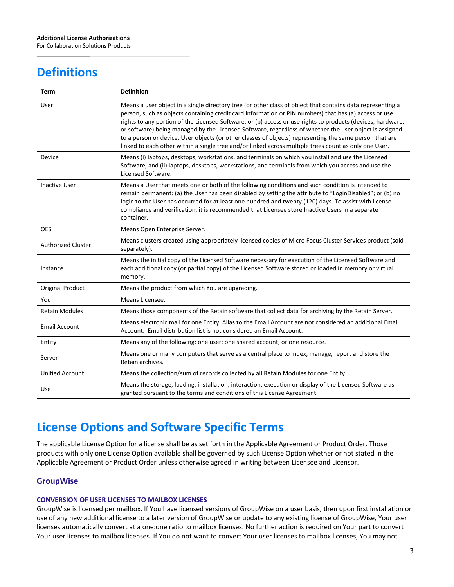For Collaboration Solutions Products

# **Definitions**

| <b>Term</b>               | <b>Definition</b>                                                                                                                                                                                                                                                                                                                                                                                                                                                                                                                                                                                                                                                |
|---------------------------|------------------------------------------------------------------------------------------------------------------------------------------------------------------------------------------------------------------------------------------------------------------------------------------------------------------------------------------------------------------------------------------------------------------------------------------------------------------------------------------------------------------------------------------------------------------------------------------------------------------------------------------------------------------|
| User                      | Means a user object in a single directory tree (or other class of object that contains data representing a<br>person, such as objects containing credit card information or PIN numbers) that has (a) access or use<br>rights to any portion of the Licensed Software, or (b) access or use rights to products (devices, hardware,<br>or software) being managed by the Licensed Software, regardless of whether the user object is assigned<br>to a person or device. User objects (or other classes of objects) representing the same person that are<br>linked to each other within a single tree and/or linked across multiple trees count as only one User. |
| Device                    | Means (i) laptops, desktops, workstations, and terminals on which you install and use the Licensed<br>Software, and (ii) laptops, desktops, workstations, and terminals from which you access and use the<br>Licensed Software.                                                                                                                                                                                                                                                                                                                                                                                                                                  |
| <b>Inactive User</b>      | Means a User that meets one or both of the following conditions and such condition is intended to<br>remain permanent: (a) the User has been disabled by setting the attribute to "LoginDisabled"; or (b) no<br>login to the User has occurred for at least one hundred and twenty (120) days. To assist with license<br>compliance and verification, it is recommended that Licensee store Inactive Users in a separate<br>container.                                                                                                                                                                                                                           |
| <b>OES</b>                | Means Open Enterprise Server.                                                                                                                                                                                                                                                                                                                                                                                                                                                                                                                                                                                                                                    |
| <b>Authorized Cluster</b> | Means clusters created using appropriately licensed copies of Micro Focus Cluster Services product (sold<br>separately).                                                                                                                                                                                                                                                                                                                                                                                                                                                                                                                                         |
| Instance                  | Means the initial copy of the Licensed Software necessary for execution of the Licensed Software and<br>each additional copy (or partial copy) of the Licensed Software stored or loaded in memory or virtual<br>memory.                                                                                                                                                                                                                                                                                                                                                                                                                                         |
| <b>Original Product</b>   | Means the product from which You are upgrading.                                                                                                                                                                                                                                                                                                                                                                                                                                                                                                                                                                                                                  |
| You                       | Means Licensee.                                                                                                                                                                                                                                                                                                                                                                                                                                                                                                                                                                                                                                                  |
| <b>Retain Modules</b>     | Means those components of the Retain software that collect data for archiving by the Retain Server.                                                                                                                                                                                                                                                                                                                                                                                                                                                                                                                                                              |
| <b>Email Account</b>      | Means electronic mail for one Entity. Alias to the Email Account are not considered an additional Email<br>Account. Email distribution list is not considered an Email Account.                                                                                                                                                                                                                                                                                                                                                                                                                                                                                  |
| Entity                    | Means any of the following: one user; one shared account; or one resource.                                                                                                                                                                                                                                                                                                                                                                                                                                                                                                                                                                                       |
| Server                    | Means one or many computers that serve as a central place to index, manage, report and store the<br>Retain archives.                                                                                                                                                                                                                                                                                                                                                                                                                                                                                                                                             |
| <b>Unified Account</b>    | Means the collection/sum of records collected by all Retain Modules for one Entity.                                                                                                                                                                                                                                                                                                                                                                                                                                                                                                                                                                              |
| Use                       | Means the storage, loading, installation, interaction, execution or display of the Licensed Software as<br>granted pursuant to the terms and conditions of this License Agreement.                                                                                                                                                                                                                                                                                                                                                                                                                                                                               |

# **License Options and Software Specific Terms**

The applicable License Option for a license shall be as set forth in the Applicable Agreement or Product Order. Those products with only one License Option available shall be governed by such License Option whether or not stated in the Applicable Agreement or Product Order unless otherwise agreed in writing between Licensee and Licensor.

# **GroupWise**

#### **CONVERSION OF USER LICENSES TO MAILBOX LICENSES**

GroupWise is licensed per mailbox. If You have licensed versions of GroupWise on a user basis, then upon first installation or use of any new additional license to a later version of GroupWise or update to any existing license of GroupWise, Your user licenses automatically convert at a one:one ratio to mailbox licenses. No further action is required on Your part to convert Your user licenses to mailbox licenses. If You do not want to convert Your user licenses to mailbox licenses, You may not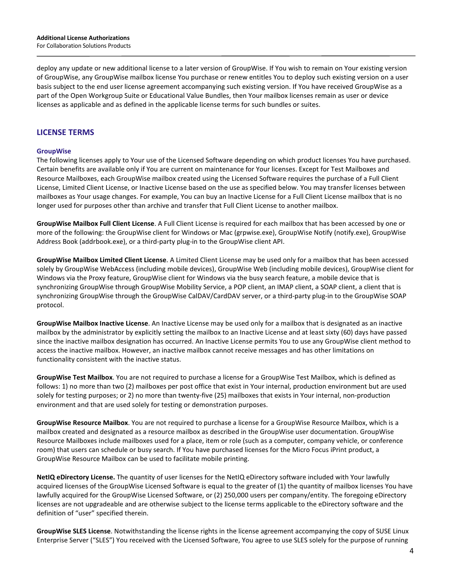deploy any update or new additional license to a later version of GroupWise. If You wish to remain on Your existing version of GroupWise, any GroupWise mailbox license You purchase or renew entitles You to deploy such existing version on a user basis subject to the end user license agreement accompanying such existing version. If You have received GroupWise as a part of the Open Workgroup Suite or Educational Value Bundles, then Your mailbox licenses remain as user or device licenses as applicable and as defined in the applicable license terms for such bundles or suites.

# **LICENSE TERMS**

#### **GroupWise**

The following licenses apply to Your use of the Licensed Software depending on which product licenses You have purchased. Certain benefits are available only if You are current on maintenance for Your licenses. Except for Test Mailboxes and Resource Mailboxes, each GroupWise mailbox created using the Licensed Software requires the purchase of a Full Client License, Limited Client License, or Inactive License based on the use as specified below. You may transfer licenses between mailboxes as Your usage changes. For example, You can buy an Inactive License for a Full Client License mailbox that is no longer used for purposes other than archive and transfer that Full Client License to another mailbox.

**GroupWise Mailbox Full Client License**. A Full Client License is required for each mailbox that has been accessed by one or more of the following: the GroupWise client for Windows or Mac (grpwise.exe), GroupWise Notify (notify.exe), GroupWise Address Book (addrbook.exe), or a third-party plug-in to the GroupWise client API.

**GroupWise Mailbox Limited Client License**. A Limited Client License may be used only for a mailbox that has been accessed solely by GroupWise WebAccess (including mobile devices), GroupWise Web (including mobile devices), GroupWise client for Windows via the Proxy feature, GroupWise client for Windows via the busy search feature, a mobile device that is synchronizing GroupWise through GroupWise Mobility Service, a POP client, an IMAP client, a SOAP client, a client that is synchronizing GroupWise through the GroupWise CalDAV/CardDAV server, or a third-party plug-in to the GroupWise SOAP protocol.

**GroupWise Mailbox Inactive License**. An Inactive License may be used only for a mailbox that is designated as an inactive mailbox by the administrator by explicitly setting the mailbox to an Inactive License and at least sixty (60) days have passed since the inactive mailbox designation has occurred. An Inactive License permits You to use any GroupWise client method to access the inactive mailbox. However, an inactive mailbox cannot receive messages and has other limitations on functionality consistent with the inactive status.

**GroupWise Test Mailbox**. You are not required to purchase a license for a GroupWise Test Mailbox, which is defined as follows: 1) no more than two (2) mailboxes per post office that exist in Your internal, production environment but are used solely for testing purposes; or 2) no more than twenty-five (25) mailboxes that exists in Your internal, non-production environment and that are used solely for testing or demonstration purposes.

**GroupWise Resource Mailbox**. You are not required to purchase a license for a GroupWise Resource Mailbox, which is a mailbox created and designated as a resource mailbox as described in the GroupWise user documentation. GroupWise Resource Mailboxes include mailboxes used for a place, item or role (such as a computer, company vehicle, or conference room) that users can schedule or busy search. If You have purchased licenses for the Micro Focus iPrint product, a GroupWise Resource Mailbox can be used to facilitate mobile printing.

**NetIQ eDirectory License.** The quantity of user licenses for the NetIQ eDirectory software included with Your lawfully acquired licenses of the GroupWise Licensed Software is equal to the greater of (1) the quantity of mailbox licenses You have lawfully acquired for the GroupWise Licensed Software, or (2) 250,000 users per company/entity. The foregoing eDirectory licenses are not upgradeable and are otherwise subject to the license terms applicable to the eDirectory software and the definition of "user" specified therein.

**GroupWise SLES License**. Notwithstanding the license rights in the license agreement accompanying the copy of SUSE Linux Enterprise Server ("SLES") You received with the Licensed Software, You agree to use SLES solely for the purpose of running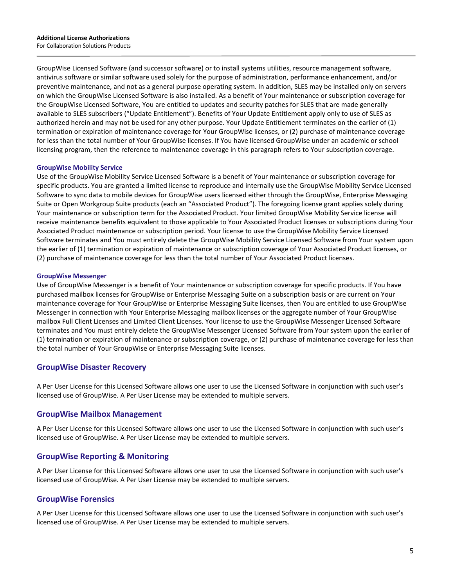GroupWise Licensed Software (and successor software) or to install systems utilities, resource management software, antivirus software or similar software used solely for the purpose of administration, performance enhancement, and/or preventive maintenance, and not as a general purpose operating system. In addition, SLES may be installed only on servers on which the GroupWise Licensed Software is also installed. As a benefit of Your maintenance or subscription coverage for the GroupWise Licensed Software, You are entitled to updates and security patches for SLES that are made generally available to SLES subscribers ("Update Entitlement"). Benefits of Your Update Entitlement apply only to use of SLES as authorized herein and may not be used for any other purpose. Your Update Entitlement terminates on the earlier of (1) termination or expiration of maintenance coverage for Your GroupWise licenses, or (2) purchase of maintenance coverage for less than the total number of Your GroupWise licenses. If You have licensed GroupWise under an academic or school licensing program, then the reference to maintenance coverage in this paragraph refers to Your subscription coverage.

#### **GroupWise Mobility Service**

Use of the GroupWise Mobility Service Licensed Software is a benefit of Your maintenance or subscription coverage for specific products. You are granted a limited license to reproduce and internally use the GroupWise Mobility Service Licensed Software to sync data to mobile devices for GroupWise users licensed either through the GroupWise, Enterprise Messaging Suite or Open Workgroup Suite products (each an "Associated Product"). The foregoing license grant applies solely during Your maintenance or subscription term for the Associated Product. Your limited GroupWise Mobility Service license will receive maintenance benefits equivalent to those applicable to Your Associated Product licenses or subscriptions during Your Associated Product maintenance or subscription period. Your license to use the GroupWise Mobility Service Licensed Software terminates and You must entirely delete the GroupWise Mobility Service Licensed Software from Your system upon the earlier of (1) termination or expiration of maintenance or subscription coverage of Your Associated Product licenses, or (2) purchase of maintenance coverage for less than the total number of Your Associated Product licenses.

#### **GroupWise Messenger**

Use of GroupWise Messenger is a benefit of Your maintenance or subscription coverage for specific products. If You have purchased mailbox licenses for GroupWise or Enterprise Messaging Suite on a subscription basis or are current on Your maintenance coverage for Your GroupWise or Enterprise Messaging Suite licenses, then You are entitled to use GroupWise Messenger in connection with Your Enterprise Messaging mailbox licenses or the aggregate number of Your GroupWise mailbox Full Client Licenses and Limited Client Licenses. Your license to use the GroupWise Messenger Licensed Software terminates and You must entirely delete the GroupWise Messenger Licensed Software from Your system upon the earlier of (1) termination or expiration of maintenance or subscription coverage, or (2) purchase of maintenance coverage for less than the total number of Your GroupWise or Enterprise Messaging Suite licenses.

#### **GroupWise Disaster Recovery**

A Per User License for this Licensed Software allows one user to use the Licensed Software in conjunction with such user's licensed use of GroupWise. A Per User License may be extended to multiple servers.

#### **GroupWise Mailbox Management**

A Per User License for this Licensed Software allows one user to use the Licensed Software in conjunction with such user's licensed use of GroupWise. A Per User License may be extended to multiple servers.

# **GroupWise Reporting & Monitoring**

A Per User License for this Licensed Software allows one user to use the Licensed Software in conjunction with such user's licensed use of GroupWise. A Per User License may be extended to multiple servers.

#### **GroupWise Forensics**

A Per User License for this Licensed Software allows one user to use the Licensed Software in conjunction with such user's licensed use of GroupWise. A Per User License may be extended to multiple servers.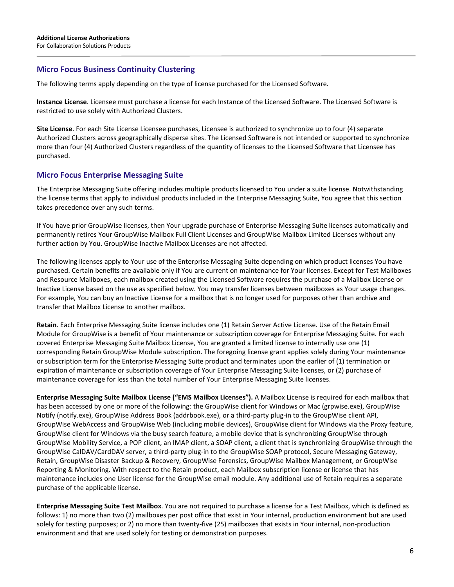# **Micro Focus Business Continuity Clustering**

The following terms apply depending on the type of license purchased for the Licensed Software.

**Instance License**. Licensee must purchase a license for each Instance of the Licensed Software. The Licensed Software is restricted to use solely with Authorized Clusters.

**Site License**. For each Site License Licensee purchases, Licensee is authorized to synchronize up to four (4) separate Authorized Clusters across geographically disperse sites. The Licensed Software is not intended or supported to synchronize more than four (4) Authorized Clusters regardless of the quantity of licenses to the Licensed Software that Licensee has purchased.

# **Micro Focus Enterprise Messaging Suite**

The Enterprise Messaging Suite offering includes multiple products licensed to You under a suite license. Notwithstanding the license terms that apply to individual products included in the Enterprise Messaging Suite, You agree that this section takes precedence over any such terms.

If You have prior GroupWise licenses, then Your upgrade purchase of Enterprise Messaging Suite licenses automatically and permanently retires Your GroupWise Mailbox Full Client Licenses and GroupWise Mailbox Limited Licenses without any further action by You. GroupWise Inactive Mailbox Licenses are not affected.

The following licenses apply to Your use of the Enterprise Messaging Suite depending on which product licenses You have purchased. Certain benefits are available only if You are current on maintenance for Your licenses. Except for Test Mailboxes and Resource Mailboxes, each mailbox created using the Licensed Software requires the purchase of a Mailbox License or Inactive License based on the use as specified below. You may transfer licenses between mailboxes as Your usage changes. For example, You can buy an Inactive License for a mailbox that is no longer used for purposes other than archive and transfer that Mailbox License to another mailbox.

**Retain**. Each Enterprise Messaging Suite license includes one (1) Retain Server Active License. Use of the Retain Email Module for GroupWise is a benefit of Your maintenance or subscription coverage for Enterprise Messaging Suite. For each covered Enterprise Messaging Suite Mailbox License, You are granted a limited license to internally use one (1) corresponding Retain GroupWise Module subscription. The foregoing license grant applies solely during Your maintenance or subscription term for the Enterprise Messaging Suite product and terminates upon the earlier of (1) termination or expiration of maintenance or subscription coverage of Your Enterprise Messaging Suite licenses, or (2) purchase of maintenance coverage for less than the total number of Your Enterprise Messaging Suite licenses.

**Enterprise Messaging Suite Mailbox License ("EMS Mailbox Licenses").** A Mailbox License is required for each mailbox that has been accessed by one or more of the following: the GroupWise client for Windows or Mac (grpwise.exe), GroupWise Notify (notify.exe), GroupWise Address Book (addrbook.exe), or a third-party plug-in to the GroupWise client API, GroupWise WebAccess and GroupWise Web (including mobile devices), GroupWise client for Windows via the Proxy feature, GroupWise client for Windows via the busy search feature, a mobile device that is synchronizing GroupWise through GroupWise Mobility Service, a POP client, an IMAP client, a SOAP client, a client that is synchronizing GroupWise through the GroupWise CalDAV/CardDAV server, a third-party plug-in to the GroupWise SOAP protocol, Secure Messaging Gateway, Retain, GroupWise Disaster Backup & Recovery, GroupWise Forensics, GroupWise Mailbox Management, or GroupWise Reporting & Monitoring. With respect to the Retain product, each Mailbox subscription license or license that has maintenance includes one User license for the GroupWise email module. Any additional use of Retain requires a separate purchase of the applicable license.

**Enterprise Messaging Suite Test Mailbox**. You are not required to purchase a license for a Test Mailbox, which is defined as follows: 1) no more than two (2) mailboxes per post office that exist in Your internal, production environment but are used solely for testing purposes; or 2) no more than twenty-five (25) mailboxes that exists in Your internal, non-production environment and that are used solely for testing or demonstration purposes.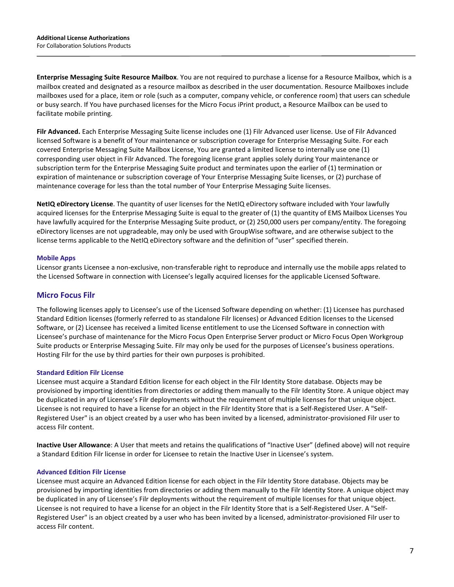**Enterprise Messaging Suite Resource Mailbox**. You are not required to purchase a license for a Resource Mailbox, which is a mailbox created and designated as a resource mailbox as described in the user documentation. Resource Mailboxes include mailboxes used for a place, item or role (such as a computer, company vehicle, or conference room) that users can schedule or busy search. If You have purchased licenses for the Micro Focus iPrint product, a Resource Mailbox can be used to facilitate mobile printing.

**Filr Advanced.** Each Enterprise Messaging Suite license includes one (1) Filr Advanced user license. Use of Filr Advanced licensed Software is a benefit of Your maintenance or subscription coverage for Enterprise Messaging Suite. For each covered Enterprise Messaging Suite Mailbox License, You are granted a limited license to internally use one (1) corresponding user object in Filr Advanced. The foregoing license grant applies solely during Your maintenance or subscription term for the Enterprise Messaging Suite product and terminates upon the earlier of (1) termination or expiration of maintenance or subscription coverage of Your Enterprise Messaging Suite licenses, or (2) purchase of maintenance coverage for less than the total number of Your Enterprise Messaging Suite licenses.

**NetIQ eDirectory License**. The quantity of user licenses for the NetIQ eDirectory software included with Your lawfully acquired licenses for the Enterprise Messaging Suite is equal to the greater of (1) the quantity of EMS Mailbox Licenses You have lawfully acquired for the Enterprise Messaging Suite product, or (2) 250,000 users per company/entity. The foregoing eDirectory licenses are not upgradeable, may only be used with GroupWise software, and are otherwise subject to the license terms applicable to the NetIQ eDirectory software and the definition of "user" specified therein.

#### **Mobile Apps**

Licensor grants Licensee a non-exclusive, non-transferable right to reproduce and internally use the mobile apps related to the Licensed Software in connection with Licensee's legally acquired licenses for the applicable Licensed Software.

## **Micro Focus Filr**

The following licenses apply to Licensee's use of the Licensed Software depending on whether: (1) Licensee has purchased Standard Edition licenses (formerly referred to as standalone Filr licenses) or Advanced Edition licenses to the Licensed Software, or (2) Licensee has received a limited license entitlement to use the Licensed Software in connection with Licensee's purchase of maintenance for the Micro Focus Open Enterprise Server product or Micro Focus Open Workgroup Suite products or Enterprise Messaging Suite. Filr may only be used for the purposes of Licensee's business operations. Hosting Filr for the use by third parties for their own purposes is prohibited.

#### **Standard Edition Filr License**

Licensee must acquire a Standard Edition license for each object in the Filr Identity Store database. Objects may be provisioned by importing identities from directories or adding them manually to the Filr Identity Store. A unique object may be duplicated in any of Licensee's Filr deployments without the requirement of multiple licenses for that unique object. Licensee is not required to have a license for an object in the Filr Identity Store that is a Self-Registered User. A "Self-Registered User" is an object created by a user who has been invited by a licensed, administrator-provisioned Filr user to access Filr content.

**Inactive User Allowance**: A User that meets and retains the qualifications of "Inactive User" (defined above) will not require a Standard Edition Filr license in order for Licensee to retain the Inactive User in Licensee's system.

#### **Advanced Edition Filr License**

Licensee must acquire an Advanced Edition license for each object in the Filr Identity Store database. Objects may be provisioned by importing identities from directories or adding them manually to the Filr Identity Store. A unique object may be duplicated in any of Licensee's Filr deployments without the requirement of multiple licenses for that unique object. Licensee is not required to have a license for an object in the Filr Identity Store that is a Self-Registered User. A "Self-Registered User" is an object created by a user who has been invited by a licensed, administrator-provisioned Filr user to access Filr content.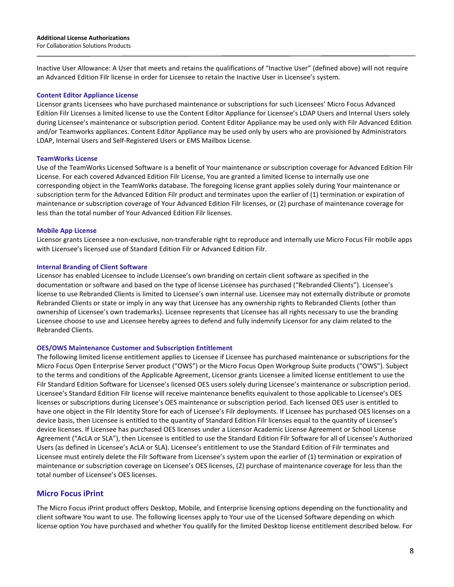Inactive User Allowance: A User that meets and retains the qualifications of "Inactive User" (defined above) will not require an Advanced Edition Filr license in order for Licensee to retain the Inactive User in Licensee's system.

#### **Content Editor Appliance License**

Licensor grants Licensees who have purchased maintenance or subscriptions for such Licensees' Micro Focus Advanced Edition Filr Licenses a limited license to use the Content Editor Appliance for Licensee's LDAP Users and Internal Users solely during Licensee's maintenance or subscription period. Content Editor Appliance may be used only with Filr Advanced Edition and/or Teamworks appliances. Content Editor Appliance may be used only by users who are provisioned by Administrators LDAP, Internal Users and Self-Registered Users or EMS Mailbox License.

#### **TeamWorks License**

Use of the TeamWorks Licensed Software is a benefit of Your maintenance or subscription coverage for Advanced Edition Filr License. For each covered Advanced Edition Filr License, You are granted a limited license to internally use one corresponding object in the TeamWorks database. The foregoing license grant applies solely during Your maintenance or subscription term for the Advanced Edition Filr product and terminates upon the earlier of (1) termination or expiration of maintenance or subscription coverage of Your Advanced Edition Filr licenses, or (2) purchase of maintenance coverage for less than the total number of Your Advanced Edition Filr licenses.

#### **Mobile App License**

Licensor grants Licensee a non-exclusive, non-transferable right to reproduce and internally use Micro Focus Filr mobile apps with Licensee's licensed use of Standard Edition Filr or Advanced Edition Filr.

#### **Internal Branding of Client Software**

Licensor has enabled Licensee to include Licensee's own branding on certain client software as specified in the documentation or software and based on the type of license Licensee has purchased ("Rebranded Clients"). Licensee's license to use Rebranded Clients is limited to Licensee's own internal use. Licensee may not externally distribute or promote Rebranded Clients or state or imply in any way that Licensee has any ownership rights to Rebranded Clients (other than ownership of Licensee's own trademarks). Licensee represents that Licensee has all rights necessary to use the branding Licensee choose to use and Licensee hereby agrees to defend and fully indemnify Licensor for any claim related to the Rebranded Clients.

#### **OES/OWS Maintenance Customer and Subscription Entitlement**

The following limited license entitlement applies to Licensee if Licensee has purchased maintenance or subscriptions for the Micro Focus Open Enterprise Server product ("OWS") or the Micro Focus Open Workgroup Suite products ("OWS"). Subject to the terms and conditions of the Applicable Agreement, Licensor grants Licensee a limited license entitlement to use the Filr Standard Edition Software for Licensee's licensed OES users solely during Licensee's maintenance or subscription period. Licensee's Standard Edition Filr license will receive maintenance benefits equivalent to those applicable to Licensee's OES licenses or subscriptions during Licensee's OES maintenance or subscription period. Each licensed OES user is entitled to have one object in the Filr Identity Store for each of Licensee's Filr deployments. If Licensee has purchased OES licenses on a device basis, then Licensee is entitled to the quantity of Standard Edition Filr licenses equal to the quantity of Licensee's device licenses. If Licensee has purchased OES licenses under a Licensor Academic License Agreement or School License Agreement ("AcLA or SLA"), then Licensee is entitled to use the Standard Edition Filr Software for all of Licensee's Authorized Users (as defined in Licensee's AcLA or SLA). Licensee's entitlement to use the Standard Edition of Filr terminates and Licensee must entirely delete the Filr Software from Licensee's system upon the earlier of (1) termination or expiration of maintenance or subscription coverage on Licensee's OES licenses, (2) purchase of maintenance coverage for less than the total number of Licensee's OES licenses.

# **Micro Focus iPrint**

The Micro Focus iPrint product offers Desktop, Mobile, and Enterprise licensing options depending on the functionality and client software You want to use. The following licenses apply to Your use of the Licensed Software depending on which license option You have purchased and whether You qualify for the limited Desktop license entitlement described below. For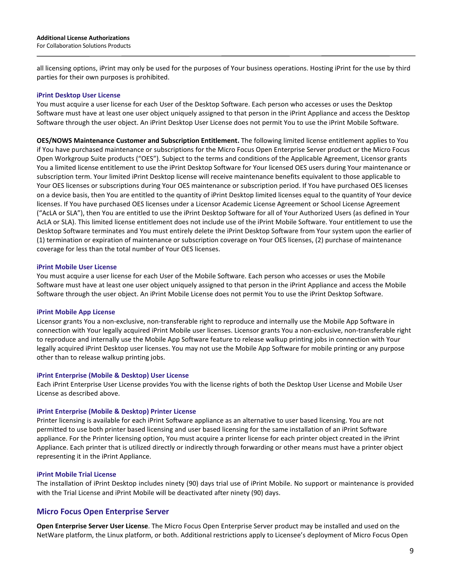all licensing options, iPrint may only be used for the purposes of Your business operations. Hosting iPrint for the use by third parties for their own purposes is prohibited.

#### **iPrint Desktop User License**

You must acquire a user license for each User of the Desktop Software. Each person who accesses or uses the Desktop Software must have at least one user object uniquely assigned to that person in the iPrint Appliance and access the Desktop Software through the user object. An iPrint Desktop User License does not permit You to use the iPrint Mobile Software.

**OES/NOWS Maintenance Customer and Subscription Entitlement.** The following limited license entitlement applies to You if You have purchased maintenance or subscriptions for the Micro Focus Open Enterprise Server product or the Micro Focus Open Workgroup Suite products ("OES"). Subject to the terms and conditions of the Applicable Agreement, Licensor grants You a limited license entitlement to use the iPrint Desktop Software for Your licensed OES users during Your maintenance or subscription term. Your limited iPrint Desktop license will receive maintenance benefits equivalent to those applicable to Your OES licenses or subscriptions during Your OES maintenance or subscription period. If You have purchased OES licenses on a device basis, then You are entitled to the quantity of iPrint Desktop limited licenses equal to the quantity of Your device licenses. If You have purchased OES licenses under a Licensor Academic License Agreement or School License Agreement ("AcLA or SLA"), then You are entitled to use the iPrint Desktop Software for all of Your Authorized Users (as defined in Your AcLA or SLA). This limited license entitlement does not include use of the iPrint Mobile Software. Your entitlement to use the Desktop Software terminates and You must entirely delete the iPrint Desktop Software from Your system upon the earlier of (1) termination or expiration of maintenance or subscription coverage on Your OES licenses, (2) purchase of maintenance coverage for less than the total number of Your OES licenses.

#### **iPrint Mobile User License**

You must acquire a user license for each User of the Mobile Software. Each person who accesses or uses the Mobile Software must have at least one user object uniquely assigned to that person in the iPrint Appliance and access the Mobile Software through the user object. An iPrint Mobile License does not permit You to use the iPrint Desktop Software.

#### **iPrint Mobile App License**

Licensor grants You a non-exclusive, non-transferable right to reproduce and internally use the Mobile App Software in connection with Your legally acquired iPrint Mobile user licenses. Licensor grants You a non-exclusive, non-transferable right to reproduce and internally use the Mobile App Software feature to release walkup printing jobs in connection with Your legally acquired iPrint Desktop user licenses. You may not use the Mobile App Software for mobile printing or any purpose other than to release walkup printing jobs.

#### **iPrint Enterprise (Mobile & Desktop) User License**

Each iPrint Enterprise User License provides You with the license rights of both the Desktop User License and Mobile User License as described above.

#### **iPrint Enterprise (Mobile & Desktop) Printer License**

Printer licensing is available for each iPrint Software appliance as an alternative to user based licensing. You are not permitted to use both printer based licensing and user based licensing for the same installation of an iPrint Software appliance. For the Printer licensing option, You must acquire a printer license for each printer object created in the iPrint Appliance. Each printer that is utilized directly or indirectly through forwarding or other means must have a printer object representing it in the iPrint Appliance.

#### **iPrint Mobile Trial License**

The installation of iPrint Desktop includes ninety (90) days trial use of iPrint Mobile. No support or maintenance is provided with the Trial License and iPrint Mobile will be deactivated after ninety (90) days.

## **Micro Focus Open Enterprise Server**

**Open Enterprise Server User License**. The Micro Focus Open Enterprise Server product may be installed and used on the NetWare platform, the Linux platform, or both. Additional restrictions apply to Licensee's deployment of Micro Focus Open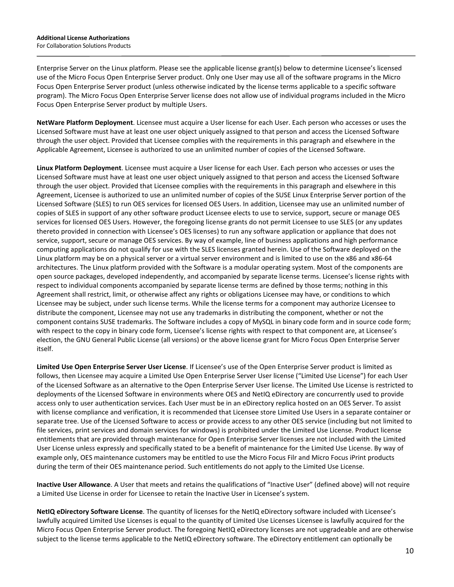Enterprise Server on the Linux platform. Please see the applicable license grant(s) below to determine Licensee's licensed use of the Micro Focus Open Enterprise Server product. Only one User may use all of the software programs in the Micro Focus Open Enterprise Server product (unless otherwise indicated by the license terms applicable to a specific software program). The Micro Focus Open Enterprise Server license does not allow use of individual programs included in the Micro Focus Open Enterprise Server product by multiple Users.

**NetWare Platform Deployment**. Licensee must acquire a User license for each User. Each person who accesses or uses the Licensed Software must have at least one user object uniquely assigned to that person and access the Licensed Software through the user object. Provided that Licensee complies with the requirements in this paragraph and elsewhere in the Applicable Agreement, Licensee is authorized to use an unlimited number of copies of the Licensed Software.

**Linux Platform Deployment**. Licensee must acquire a User license for each User. Each person who accesses or uses the Licensed Software must have at least one user object uniquely assigned to that person and access the Licensed Software through the user object. Provided that Licensee complies with the requirements in this paragraph and elsewhere in this Agreement, Licensee is authorized to use an unlimited number of copies of the SUSE Linux Enterprise Server portion of the Licensed Software (SLES) to run OES services for licensed OES Users. In addition, Licensee may use an unlimited number of copies of SLES in support of any other software product Licensee elects to use to service, support, secure or manage OES services for licensed OES Users. However, the foregoing license grants do not permit Licensee to use SLES (or any updates thereto provided in connection with Licensee's OES licenses) to run any software application or appliance that does not service, support, secure or manage OES services. By way of example, line of business applications and high performance computing applications do not qualify for use with the SLES licenses granted herein. Use of the Software deployed on the Linux platform may be on a physical server or a virtual server environment and is limited to use on the x86 and x86-64 architectures. The Linux platform provided with the Software is a modular operating system. Most of the components are open source packages, developed independently, and accompanied by separate license terms. Licensee's license rights with respect to individual components accompanied by separate license terms are defined by those terms; nothing in this Agreement shall restrict, limit, or otherwise affect any rights or obligations Licensee may have, or conditions to which Licensee may be subject, under such license terms. While the license terms for a component may authorize Licensee to distribute the component, Licensee may not use any trademarks in distributing the component, whether or not the component contains SUSE trademarks. The Software includes a copy of MySQL in binary code form and in source code form; with respect to the copy in binary code form, Licensee's license rights with respect to that component are, at Licensee's election, the GNU General Public License (all versions) or the above license grant for Micro Focus Open Enterprise Server itself.

**Limited Use Open Enterprise Server User License**. If Licensee's use of the Open Enterprise Server product is limited as follows, then Licensee may acquire a Limited Use Open Enterprise Server User license ("Limited Use License") for each User of the Licensed Software as an alternative to the Open Enterprise Server User license. The Limited Use License is restricted to deployments of the Licensed Software in environments where OES and NetIQ eDirectory are concurrently used to provide access only to user authentication services. Each User must be in an eDirectory replica hosted on an OES Server. To assist with license compliance and verification, it is recommended that Licensee store Limited Use Users in a separate container or separate tree. Use of the Licensed Software to access or provide access to any other OES service (including but not limited to file services, print services and domain services for windows) is prohibited under the Limited Use License. Product license entitlements that are provided through maintenance for Open Enterprise Server licenses are not included with the Limited User License unless expressly and specifically stated to be a benefit of maintenance for the Limited Use License. By way of example only, OES maintenance customers may be entitled to use the Micro Focus Filr and Micro Focus iPrint products during the term of their OES maintenance period. Such entitlements do not apply to the Limited Use License.

**Inactive User Allowance**. A User that meets and retains the qualifications of "Inactive User" (defined above) will not require a Limited Use License in order for Licensee to retain the Inactive User in Licensee's system.

**NetIQ eDirectory Software License**. The quantity of licenses for the NetIQ eDirectory software included with Licensee's lawfully acquired Limited Use Licenses is equal to the quantity of Limited Use Licenses Licensee is lawfully acquired for the Micro Focus Open Enterprise Server product. The foregoing NetIQ eDirectory licenses are not upgradeable and are otherwise subject to the license terms applicable to the NetIQ eDirectory software. The eDirectory entitlement can optionally be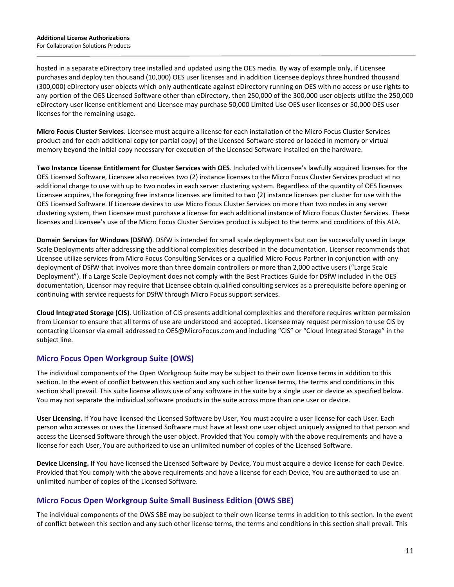hosted in a separate eDirectory tree installed and updated using the OES media. By way of example only, if Licensee purchases and deploy ten thousand (10,000) OES user licenses and in addition Licensee deploys three hundred thousand (300,000) eDirectory user objects which only authenticate against eDirectory running on OES with no access or use rights to any portion of the OES Licensed Software other than eDirectory, then 250,000 of the 300,000 user objects utilize the 250,000 eDirectory user license entitlement and Licensee may purchase 50,000 Limited Use OES user licenses or 50,000 OES user licenses for the remaining usage.

**Micro Focus Cluster Services**. Licensee must acquire a license for each installation of the Micro Focus Cluster Services product and for each additional copy (or partial copy) of the Licensed Software stored or loaded in memory or virtual memory beyond the initial copy necessary for execution of the Licensed Software installed on the hardware.

**Two Instance License Entitlement for Cluster Services with OES**. Included with Licensee's lawfully acquired licenses for the OES Licensed Software, Licensee also receives two (2) instance licenses to the Micro Focus Cluster Services product at no additional charge to use with up to two nodes in each server clustering system. Regardless of the quantity of OES licenses Licensee acquires, the foregoing free instance licenses are limited to two (2) instance licenses per cluster for use with the OES Licensed Software. If Licensee desires to use Micro Focus Cluster Services on more than two nodes in any server clustering system, then Licensee must purchase a license for each additional instance of Micro Focus Cluster Services. These licenses and Licensee's use of the Micro Focus Cluster Services product is subject to the terms and conditions of this ALA.

**Domain Services for Windows (DSfW)**. DSfW is intended for small scale deployments but can be successfully used in Large Scale Deployments after addressing the additional complexities described in the documentation. Licensor recommends that Licensee utilize services from Micro Focus Consulting Services or a qualified Micro Focus Partner in conjunction with any deployment of DSfW that involves more than three domain controllers or more than 2,000 active users ("Large Scale Deployment"). If a Large Scale Deployment does not comply with the Best Practices Guide for DSfW included in the OES documentation, Licensor may require that Licensee obtain qualified consulting services as a prerequisite before opening or continuing with service requests for DSfW through Micro Focus support services.

**Cloud Integrated Storage (CIS)**. Utilization of CIS presents additional complexities and therefore requires written permission from Licensor to ensure that all terms of use are understood and accepted. Licensee may request permission to use CIS by contacting Licensor via email addressed to OES@MicroFocus.com and including "CIS" or "Cloud Integrated Storage" in the subject line.

# **Micro Focus Open Workgroup Suite (OWS)**

The individual components of the Open Workgroup Suite may be subject to their own license terms in addition to this section. In the event of conflict between this section and any such other license terms, the terms and conditions in this section shall prevail. This suite license allows use of any software in the suite by a single user or device as specified below. You may not separate the individual software products in the suite across more than one user or device.

**User Licensing.** If You have licensed the Licensed Software by User, You must acquire a user license for each User. Each person who accesses or uses the Licensed Software must have at least one user object uniquely assigned to that person and access the Licensed Software through the user object. Provided that You comply with the above requirements and have a license for each User, You are authorized to use an unlimited number of copies of the Licensed Software.

**Device Licensing.** If You have licensed the Licensed Software by Device, You must acquire a device license for each Device. Provided that You comply with the above requirements and have a license for each Device, You are authorized to use an unlimited number of copies of the Licensed Software.

# **Micro Focus Open Workgroup Suite Small Business Edition (OWS SBE)**

The individual components of the OWS SBE may be subject to their own license terms in addition to this section. In the event of conflict between this section and any such other license terms, the terms and conditions in this section shall prevail. This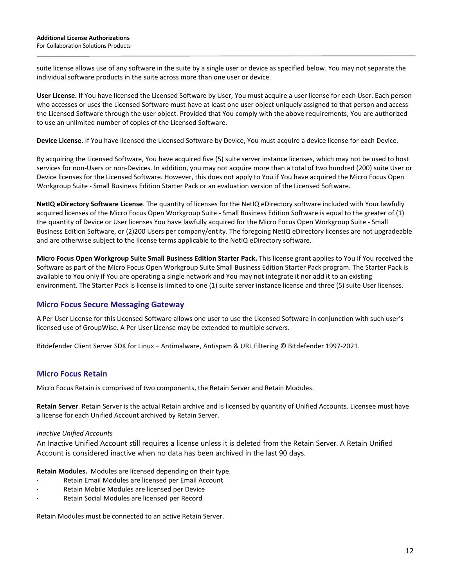suite license allows use of any software in the suite by a single user or device as specified below. You may not separate the individual software products in the suite across more than one user or device.

**User License.** If You have licensed the Licensed Software by User, You must acquire a user license for each User. Each person who accesses or uses the Licensed Software must have at least one user object uniquely assigned to that person and access the Licensed Software through the user object. Provided that You comply with the above requirements, You are authorized to use an unlimited number of copies of the Licensed Software.

**Device License.** If You have licensed the Licensed Software by Device, You must acquire a device license for each Device.

By acquiring the Licensed Software, You have acquired five (5) suite server instance licenses, which may not be used to host services for non-Users or non-Devices. In addition, you may not acquire more than a total of two hundred (200) suite User or Device licenses for the Licensed Software. However, this does not apply to You if You have acquired the Micro Focus Open Workgroup Suite - Small Business Edition Starter Pack or an evaluation version of the Licensed Software.

**NetIQ eDirectory Software License**. The quantity of licenses for the NetIQ eDirectory software included with Your lawfully acquired licenses of the Micro Focus Open Workgroup Suite - Small Business Edition Software is equal to the greater of (1) the quantity of Device or User licenses You have lawfully acquired for the Micro Focus Open Workgroup Suite - Small Business Edition Software, or (2)200 Users per company/entity. The foregoing NetIQ eDirectory licenses are not upgradeable and are otherwise subject to the license terms applicable to the NetIQ eDirectory software.

**Micro Focus Open Workgroup Suite Small Business Edition Starter Pack.** This license grant applies to You if You received the Software as part of the Micro Focus Open Workgroup Suite Small Business Edition Starter Pack program. The Starter Pack is available to You only if You are operating a single network and You may not integrate it nor add it to an existing environment. The Starter Pack is license is limited to one (1) suite server instance license and three (5) suite User licenses.

# **Micro Focus Secure Messaging Gateway**

A Per User License for this Licensed Software allows one user to use the Licensed Software in conjunction with such user's licensed use of GroupWise. A Per User License may be extended to multiple servers.

Bitdefender Client Server SDK for Linux – Antimalware, Antispam & URL Filtering © Bitdefender 1997-2021.

# **Micro Focus Retain**

Micro Focus Retain is comprised of two components, the Retain Server and Retain Modules.

**Retain Server**. Retain Server is the actual Retain archive and is licensed by quantity of Unified Accounts. Licensee must have a license for each Unified Account archived by Retain Server.

#### *Inactive Unified Accounts*

An Inactive Unified Account still requires a license unless it is deleted from the Retain Server. A Retain Unified Account is considered inactive when no data has been archived in the last 90 days.

**Retain Modules.** Modules are licensed depending on their type.

- Retain Email Modules are licensed per Email Account
- Retain Mobile Modules are licensed per Device
- Retain Social Modules are licensed per Record

Retain Modules must be connected to an active Retain Server.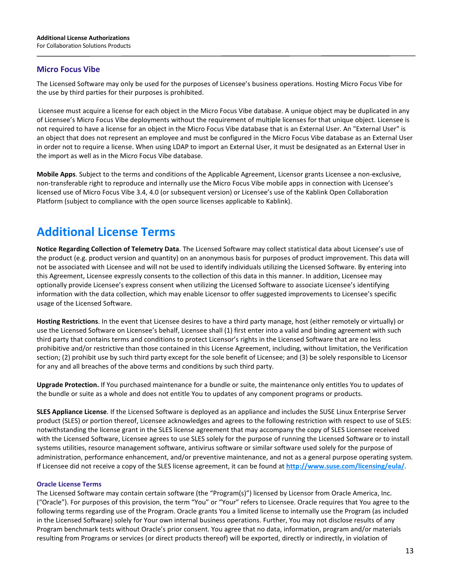# **Micro Focus Vibe**

The Licensed Software may only be used for the purposes of Licensee's business operations. Hosting Micro Focus Vibe for the use by third parties for their purposes is prohibited.

Licensee must acquire a license for each object in the Micro Focus Vibe database. A unique object may be duplicated in any of Licensee's Micro Focus Vibe deployments without the requirement of multiple licenses for that unique object. Licensee is not required to have a license for an object in the Micro Focus Vibe database that is an External User. An "External User" is an object that does not represent an employee and must be configured in the Micro Focus Vibe database as an External User in order not to require a license. When using LDAP to import an External User, it must be designated as an External User in the import as well as in the Micro Focus Vibe database.

**Mobile Apps**. Subject to the terms and conditions of the Applicable Agreement, Licensor grants Licensee a non-exclusive, non-transferable right to reproduce and internally use the Micro Focus Vibe mobile apps in connection with Licensee's licensed use of Micro Focus Vibe 3.4, 4.0 (or subsequent version) or Licensee's use of the Kablink Open Collaboration Platform (subject to compliance with the open source licenses applicable to Kablink).

# **Additional License Terms**

**Notice Regarding Collection of Telemetry Data**. The Licensed Software may collect statistical data about Licensee's use of the product (e.g. product version and quantity) on an anonymous basis for purposes of product improvement. This data will not be associated with Licensee and will not be used to identify individuals utilizing the Licensed Software. By entering into this Agreement, Licensee expressly consents to the collection of this data in this manner. In addition, Licensee may optionally provide Licensee's express consent when utilizing the Licensed Software to associate Licensee's identifying information with the data collection, which may enable Licensor to offer suggested improvements to Licensee's specific usage of the Licensed Software.

**Hosting Restrictions**. In the event that Licensee desires to have a third party manage, host (either remotely or virtually) or use the Licensed Software on Licensee's behalf, Licensee shall (1) first enter into a valid and binding agreement with such third party that contains terms and conditions to protect Licensor's rights in the Licensed Software that are no less prohibitive and/or restrictive than those contained in this License Agreement, including, without limitation, the Verification section; (2) prohibit use by such third party except for the sole benefit of Licensee; and (3) be solely responsible to Licensor for any and all breaches of the above terms and conditions by such third party.

**Upgrade Protection.** If You purchased maintenance for a bundle or suite, the maintenance only entitles You to updates of the bundle or suite as a whole and does not entitle You to updates of any component programs or products.

**SLES Appliance License**. If the Licensed Software is deployed as an appliance and includes the SUSE Linux Enterprise Server product (SLES) or portion thereof, Licensee acknowledges and agrees to the following restriction with respect to use of SLES: notwithstanding the license grant in the SLES license agreement that may accompany the copy of SLES Licensee received with the Licensed Software, Licensee agrees to use SLES solely for the purpose of running the Licensed Software or to install systems utilities, resource management software, antivirus software or similar software used solely for the purpose of administration, performance enhancement, and/or preventive maintenance, and not as a general purpose operating system. If Licensee did not receive a copy of the SLES license agreement, it can be found at **<http://www.suse.com/licensing/eula/>**.

#### **Oracle License Terms**

The Licensed Software may contain certain software (the "Program(s)") licensed by Licensor from Oracle America, Inc. ("Oracle"). For purposes of this provision, the term "You" or "Your" refers to Licensee. Oracle requires that You agree to the following terms regarding use of the Program. Oracle grants You a limited license to internally use the Program (as included in the Licensed Software) solely for Your own internal business operations. Further, You may not disclose results of any Program benchmark tests without Oracle's prior consent. You agree that no data, information, program and/or materials resulting from Programs or services (or direct products thereof) will be exported, directly or indirectly, in violation of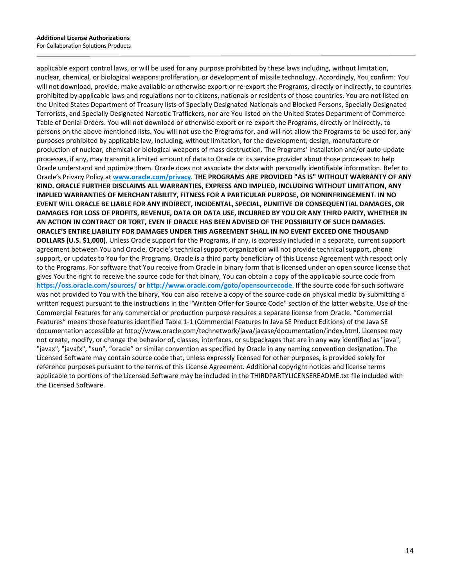applicable export control laws, or will be used for any purpose prohibited by these laws including, without limitation, nuclear, chemical, or biological weapons proliferation, or development of missile technology. Accordingly, You confirm: You will not download, provide, make available or otherwise export or re-export the Programs, directly or indirectly, to countries prohibited by applicable laws and regulations nor to citizens, nationals or residents of those countries. You are not listed on the United States Department of Treasury lists of Specially Designated Nationals and Blocked Persons, Specially Designated Terrorists, and Specially Designated Narcotic Traffickers, nor are You listed on the United States Department of Commerce Table of Denial Orders. You will not download or otherwise export or re-export the Programs, directly or indirectly, to persons on the above mentioned lists. You will not use the Programs for, and will not allow the Programs to be used for, any purposes prohibited by applicable law, including, without limitation, for the development, design, manufacture or production of nuclear, chemical or biological weapons of mass destruction. The Programs' installation and/or auto-update processes, if any, may transmit a limited amount of data to Oracle or its service provider about those processes to help Oracle understand and optimize them. Oracle does not associate the data with personally identifiable information. Refer to Oracle's Privacy Policy at **[www.oracle.com/privacy](http://www.oracle.com/privacy)**. **THE PROGRAMS ARE PROVIDED "AS IS" WITHOUT WARRANTY OF ANY KIND. ORACLE FURTHER DISCLAIMS ALL WARRANTIES, EXPRESS AND IMPLIED, INCLUDING WITHOUT LIMITATION, ANY IMPLIED WARRANTIES OF MERCHANTABILITY, FITNESS FOR A PARTICULAR PURPOSE, OR NONINFRINGEMENT**. **IN NO EVENT WILL ORACLE BE LIABLE FOR ANY INDIRECT, INCIDENTAL, SPECIAL, PUNITIVE OR CONSEQUENTIAL DAMAGES, OR DAMAGES FOR LOSS OF PROFITS, REVENUE, DATA OR DATA USE, INCURRED BY YOU OR ANY THIRD PARTY, WHETHER IN AN ACTION IN CONTRACT OR TORT, EVEN IF ORACLE HAS BEEN ADVISED OF THE POSSIBILITY OF SUCH DAMAGES. ORACLE'S ENTIRE LIABILITY FOR DAMAGES UNDER THIS AGREEMENT SHALL IN NO EVENT EXCEED ONE THOUSAND DOLLARS (U.S. \$1,000)**. Unless Oracle support for the Programs, if any, is expressly included in a separate, current support agreement between You and Oracle, Oracle's technical support organization will not provide technical support, phone support, or updates to You for the Programs. Oracle is a third party beneficiary of this License Agreement with respect only to the Programs. For software that You receive from Oracle in binary form that is licensed under an open source license that gives You the right to receive the source code for that binary, You can obtain a copy of the applicable source code from **<https://oss.oracle.com/sources/>** or **<http://www.oracle.com/goto/opensourcecode>**. If the source code for such software was not provided to You with the binary, You can also receive a copy of the source code on physical media by submitting a written request pursuant to the instructions in the "Written Offer for Source Code" section of the latter website. Use of the Commercial Features for any commercial or production purpose requires a separate license from Oracle. "Commercial Features" means those features identified Table 1-1 (Commercial Features In Java SE Product Editions) of the Java SE documentation accessible at http://www.oracle.com/technetwork/java/javase/documentation/index.html. Licensee may not create, modify, or change the behavior of, classes, interfaces, or subpackages that are in any way identified as "java", "javax", "javafx", "sun", "oracle" or similar convention as specified by Oracle in any naming convention designation. The Licensed Software may contain source code that, unless expressly licensed for other purposes, is provided solely for reference purposes pursuant to the terms of this License Agreement. Additional copyright notices and license terms applicable to portions of the Licensed Software may be included in the THIRDPARTYLICENSEREADME.txt file included with the Licensed Software.